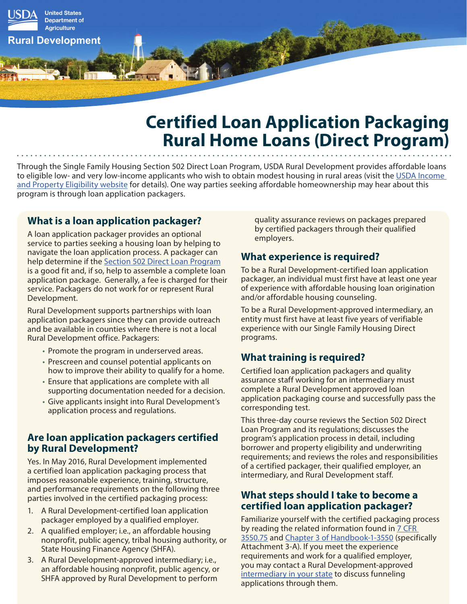

# **Certified Loan Application Packaging Rural Home Loans (Direct Program)**

Through the Single Family Housing Section 502 Direct Loan Program, USDA Rural Development provides affordable loans to eligible low- and very low-income applicants who wish to obtain modest housing in rural areas (visit the USDA Income [and Property Eligibility website](https://eligibility.sc.egov.usda.gov/eligibility/welcomeAction.do) for details). One way parties seeking affordable homeownership may hear about this program is through loan application packagers.

## **What is a loan application packager?**

A loan application packager provides an optional service to parties seeking a housing loan by helping to navigate the loan application process. A packager can help determine if the [Section 502 Direct Loan Program](https://www.rd.usda.gov/programs-services/single-family-housing-direct-home-loans) is a good fit and, if so, help to assemble a complete loan application package. Generally, a fee is charged for their service. Packagers do not work for or represent Rural Development.

Rural Development supports partnerships with loan application packagers since they can provide outreach and be available in counties where there is not a local Rural Development office. Packagers:

- Promote the program in underserved areas.
- Prescreen and counsel potential applicants on how to improve their ability to qualify for a home.
- Ensure that applications are complete with all supporting documentation needed for a decision.
- Give applicants insight into Rural Development's application process and regulations.

### **Are loan application packagers certified by Rural Development?**

Yes. In May 2016, Rural Development implemented a certified loan application packaging process that imposes reasonable experience, training, structure, and performance requirements on the following three parties involved in the certified packaging process:

- 1. A Rural Development-certified loan application packager employed by a qualified employer.
- 2. A qualified employer; i.e., an affordable housing nonprofit, public agency, tribal housing authority, or State Housing Finance Agency (SHFA).
- 3. A Rural Development-approved intermediary; i.e., an affordable housing nonprofit, public agency, or SHFA approved by Rural Development to perform

quality assurance reviews on packages prepared by certified packagers through their qualified employers.

## **What experience is required?**

To be a Rural Development-certified loan application packager, an individual must first have at least one year of experience with affordable housing loan origination and/or affordable housing counseling.

To be a Rural Development-approved intermediary, an entity must first have at least five years of verifiable experience with our Single Family Housing Direct programs.

# **What training is required?**

Certified loan application packagers and quality assurance staff working for an intermediary must complete a Rural Development approved loan application packaging course and successfully pass the corresponding test.

This three-day course reviews the Section 502 Direct Loan Program and its regulations; discusses the program's application process in detail, including borrower and property eligibility and underwriting requirements; and reviews the roles and responsibilities of a certified packager, their qualified employer, an intermediary, and Rural Development staff.

### **What steps should I take to become a certified loan application packager?**

Familiarize yourself with the certified packaging process by reading the related information found in 7 CFR [3550.75](https://www.rd.usda.gov/files/3550appendix01.pdf) and [Chapter 3 of Handbook-1-3550](https://www.rd.usda.gov/files/3550-1chapter03.pdf) (specifically Attachment 3-A). If you meet the experience requirements and work for a qualified employer, you may contact a Rural Development-approved [intermediary in your state](https://www.rd.usda.gov/files/RD-SFH-IntermediaryMap.pdf) to discuss funneling applications through them.